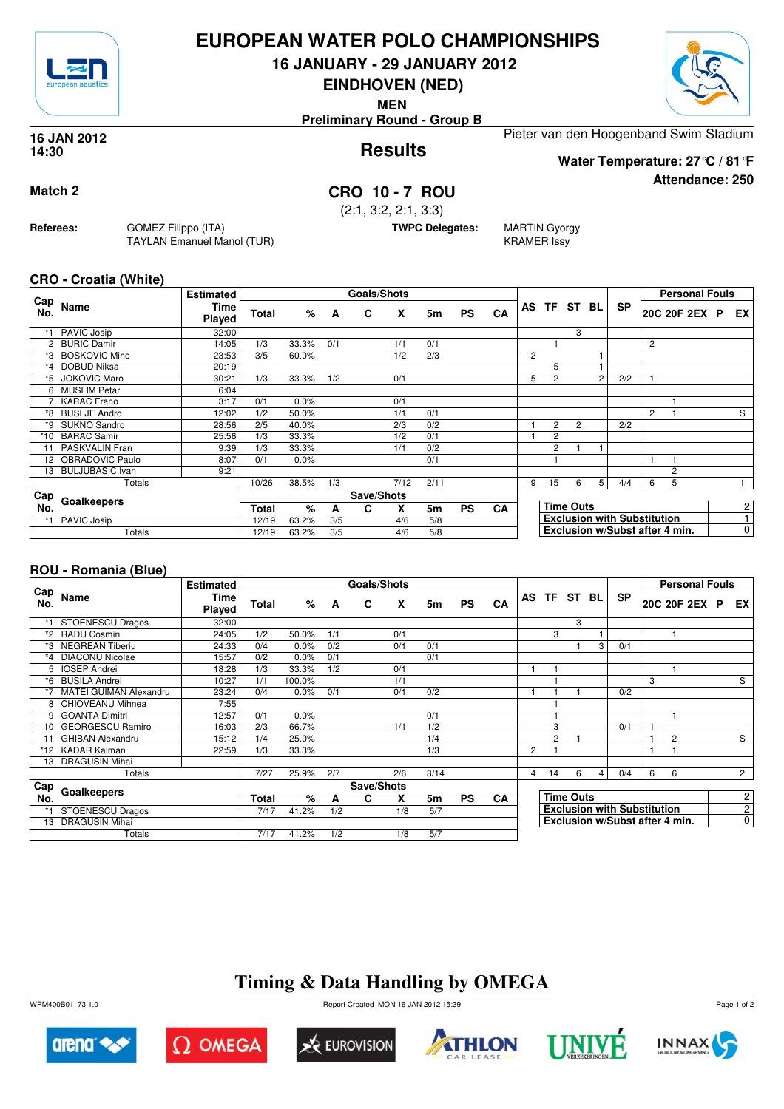

## **EUROPEAN WATER POLO CHAMPIONSHIPS**

**16 JANUARY - 29 JANUARY 2012**

**EINDHOVEN (NED)**

**MEN**

**Preliminary Round - Group B**



#### **Results 16 JAN 2012 14:30**

Pieter van den Hoogenband Swim Stadium

**Water Temperature: 27°C / 81°F**

**Attendance: 250**

## **Match 2 CRO 10 - 7 ROU**

(2:1, 3:2, 2:1, 3:3)

**TWPC Delegates:** MARTIN Gyorgy

KRAMER Issy

### **CRO - Croatia (White)**

**Referees:** GOMEZ Filippo (ITA)

TAYLAN Emanuel Manol (TUR)

|            |                        | <b>Estimated</b>             |              |       |     | <b>Goals/Shots</b> |      |      |           |           |                |                  |                |   |                                    |                | <b>Personal Fouls</b>          |                |
|------------|------------------------|------------------------------|--------------|-------|-----|--------------------|------|------|-----------|-----------|----------------|------------------|----------------|---|------------------------------------|----------------|--------------------------------|----------------|
| Cap<br>No. | Name                   | <b>Time</b><br><b>Played</b> | <b>Total</b> | %     | A   | C                  | X    | 5m   | <b>PS</b> | CA        |                |                  | AS TF ST BL    |   | <b>SP</b>                          |                | 20C 20F 2EX P                  | EX             |
| *1         | PAVIC Josip            | 32:00                        |              |       |     |                    |      |      |           |           |                |                  | 3              |   |                                    |                |                                |                |
|            | <b>BURIC Damir</b>     | 14:05                        | 1/3          | 33.3% | 0/1 |                    | 1/1  | 0/1  |           |           |                |                  |                |   |                                    | 2              |                                |                |
| *3         | <b>BOSKOVIC Miho</b>   | 23:53                        | 3/5          | 60.0% |     |                    | 1/2  | 2/3  |           |           | $\overline{2}$ |                  |                |   |                                    |                |                                |                |
| $*_{4}$    | DOBUD Niksa            | 20:19                        |              |       |     |                    |      |      |           |           |                | 5                |                |   |                                    |                |                                |                |
| *5         | <b>JOKOVIC Maro</b>    | 30:21                        | 1/3          | 33.3% | 1/2 |                    | 0/1  |      |           |           | 5              | $\overline{c}$   |                | 2 | 2/2                                |                |                                |                |
| 6          | <b>MUSLIM Petar</b>    | 6:04                         |              |       |     |                    |      |      |           |           |                |                  |                |   |                                    |                |                                |                |
|            | <b>KARAC</b> Frano     | 3:17                         | 0/1          | 0.0%  |     |                    | 0/1  |      |           |           |                |                  |                |   |                                    |                |                                |                |
| *8         | <b>BUSLJE Andro</b>    | 12:02                        | 1/2          | 50.0% |     |                    | 1/1  | 0/1  |           |           |                |                  |                |   |                                    | $\overline{2}$ |                                | S              |
| *9         | <b>SUKNO Sandro</b>    | 28:56                        | 2/5          | 40.0% |     |                    | 2/3  | 0/2  |           |           |                | $\overline{2}$   | $\overline{2}$ |   | 2/2                                |                |                                |                |
| *10        | <b>BARAC Samir</b>     | 25:56                        | 1/3          | 33.3% |     |                    | 1/2  | 0/1  |           |           |                | $\overline{c}$   |                |   |                                    |                |                                |                |
| 11         | PASKVALIN Fran         | 9:39                         | 1/3          | 33.3% |     |                    | 1/1  | 0/2  |           |           |                | 2                |                |   |                                    |                |                                |                |
|            | 12 OBRADOVIC Paulo     | 8:07                         | 0/1          | 0.0%  |     |                    |      | 0/1  |           |           |                |                  |                |   |                                    |                |                                |                |
| 13         | <b>BULJUBASIC Ivan</b> | 9:21                         |              |       |     |                    |      |      |           |           |                |                  |                |   |                                    |                | 2                              |                |
|            | Totals                 |                              | 10/26        | 38.5% | 1/3 |                    | 7/12 | 2/11 |           |           | 9              | 15               | 6              | 5 | 4/4                                | 6              | 5                              |                |
| Cap        |                        |                              |              |       |     | Save/Shots         |      |      |           |           |                |                  |                |   |                                    |                |                                |                |
| No.        | Goalkeepers            |                              | Total        | %     | A   | C                  | X    | 5m   | <b>PS</b> | <b>CA</b> |                | <b>Time Outs</b> |                |   |                                    |                |                                | $\overline{c}$ |
|            | PAVIC Josip            |                              | 12/19        | 63.2% | 3/5 |                    | 4/6  | 5/8  |           |           |                |                  |                |   | <b>Exclusion with Substitution</b> |                |                                | 1              |
|            | Totals                 |                              | 12/19        | 63.2% | 3/5 |                    | 4/6  | 5/8  |           |           |                |                  |                |   |                                    |                | Exclusion w/Subst after 4 min. | $\mathbf 0$    |

## **ROU - Romania (Blue)**

|            |                               | <b>Estimated</b> |       |        |     | <b>Goals/Shots</b> |     |      |           |           |     |                |                  |     |                                    |   | <b>Personal Fouls</b>          |                |
|------------|-------------------------------|------------------|-------|--------|-----|--------------------|-----|------|-----------|-----------|-----|----------------|------------------|-----|------------------------------------|---|--------------------------------|----------------|
| Cap<br>No. | Name                          | Time<br>Played   | Total | %      | A   | C                  | X   | 5m   | <b>PS</b> | CA        | AS. | <b>TF</b>      | ST               | BL. | <b>SP</b>                          |   | 20C 20F 2EX P EX               |                |
|            | <b>STOENESCU Dragos</b>       | 32:00            |       |        |     |                    |     |      |           |           |     |                | 3                |     |                                    |   |                                |                |
| *2         | <b>RADU Cosmin</b>            | 24:05            | 1/2   | 50.0%  | 1/1 |                    | 0/1 |      |           |           |     | 3              |                  |     |                                    |   |                                |                |
| *3         | <b>NEGREAN Tiberiu</b>        | 24:33            | 0/4   | 0.0%   | 0/2 |                    | 0/1 | 0/1  |           |           |     |                |                  | 3   | 0/1                                |   |                                |                |
| *4         | <b>DIACONU Nicolae</b>        | 15:57            | 0/2   | 0.0%   | 0/1 |                    |     | 0/1  |           |           |     |                |                  |     |                                    |   |                                |                |
| 5          | <b>IOSEP Andrei</b>           | 18:28            | 1/3   | 33.3%  | 1/2 |                    | 0/1 |      |           |           |     |                |                  |     |                                    |   |                                |                |
| *6         | <b>BUSILA Andrei</b>          | 10:27            | 1/1   | 100.0% |     |                    | 1/1 |      |           |           |     |                |                  |     |                                    | 3 |                                | $\overline{s}$ |
| *7         | <b>MATEI GUIMAN Alexandru</b> | 23:24            | 0/4   | 0.0%   | 0/1 |                    | 0/1 | 0/2  |           |           |     |                |                  |     | 0/2                                |   |                                |                |
| 8          | CHIOVEANU Mihnea              | 7:55             |       |        |     |                    |     |      |           |           |     |                |                  |     |                                    |   |                                |                |
| 9          | <b>GOANTA Dimitri</b>         | 12:57            | 0/1   | 0.0%   |     |                    |     | 0/1  |           |           |     |                |                  |     |                                    |   |                                |                |
| 10         | <b>GEORGESCU Ramiro</b>       | 16:03            | 2/3   | 66.7%  |     |                    | 1/1 | 1/2  |           |           |     | 3              |                  |     | 0/1                                |   |                                |                |
|            | <b>GHIBAN Alexandru</b>       | 15:12            | 1/4   | 25.0%  |     |                    |     | 1/4  |           |           |     | $\overline{c}$ |                  |     |                                    |   | $\overline{2}$                 | S              |
| *12        | <b>KADAR Kalman</b>           | 22:59            | 1/3   | 33.3%  |     |                    |     | 1/3  |           |           | 2   |                |                  |     |                                    |   |                                |                |
| 13         | <b>DRAGUSIN Mihai</b>         |                  |       |        |     |                    |     |      |           |           |     |                |                  |     |                                    |   |                                |                |
|            | Totals                        |                  | 7/27  | 25.9%  | 2/7 |                    | 2/6 | 3/14 |           |           | 4   | 14             | 6                | 4   | 0/4                                | 6 | 6                              | $2^{\circ}$    |
| Cap        |                               |                  |       |        |     | Save/Shots         |     |      |           |           |     |                |                  |     |                                    |   |                                |                |
| No.        | Goalkeepers                   |                  | Total | %      | A   | C                  | X   | 5m   | <b>PS</b> | <b>CA</b> |     |                | <b>Time Outs</b> |     |                                    |   |                                | $\overline{c}$ |
|            | <b>STOENESCU Dragos</b>       |                  | 7/17  | 41.2%  | 1/2 |                    | 1/8 | 5/7  |           |           |     |                |                  |     | <b>Exclusion with Substitution</b> |   |                                | $\overline{2}$ |
| 13         | <b>DRAGUSIN Mihai</b>         |                  |       |        |     |                    |     |      |           |           |     |                |                  |     |                                    |   | Exclusion w/Subst after 4 min. | $\mathbf 0$    |
|            | Totals                        |                  | 7/17  | 41.2%  | 1/2 |                    | 1/8 | 5/7  |           |           |     |                |                  |     |                                    |   |                                |                |

# **Timing & Data Handling by OMEGA**

WPM400B01\_73 1.0 Report Created MON 16 JAN 2012 15:39













Page 1 of 2